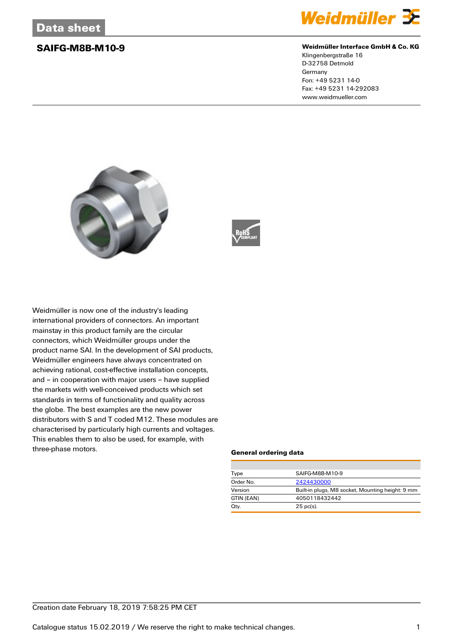

### **SAIFG-M8B-M10-9 Weidmüller Interface GmbH & Co. KG**

Klingenbergstraße 16 D-32758 Detmold Germany Fon: +49 5231 14-0 Fax: +49 5231 14-292083 www.weidmueller.com





Weidmüller is now one of the industry's leading international providers of connectors. An important mainstay in this product family are the circular connectors, which Weidmüller groups under the product name SAI. In the development of SAI products, Weidmüller engineers have always concentrated on achieving rational, cost-effective installation concepts, and – in cooperation with major users – have supplied the markets with well-conceived products which set standards in terms of functionality and quality across the globe. The best examples are the new power distributors with S and T coded M12. These modules are characterised by particularly high currents and voltages. This enables them to also be used, for example, with three-phase motors.

### **General ordering data**

| Type       | SAIFG-M8B-M10-9                                  |  |  |
|------------|--------------------------------------------------|--|--|
| Order No.  | 2424430000                                       |  |  |
| Version    | Built-in plugs, M8 socket, Mounting height: 9 mm |  |  |
| GTIN (EAN) | 4050118432442                                    |  |  |
| Qty.       | $25$ pc(s).                                      |  |  |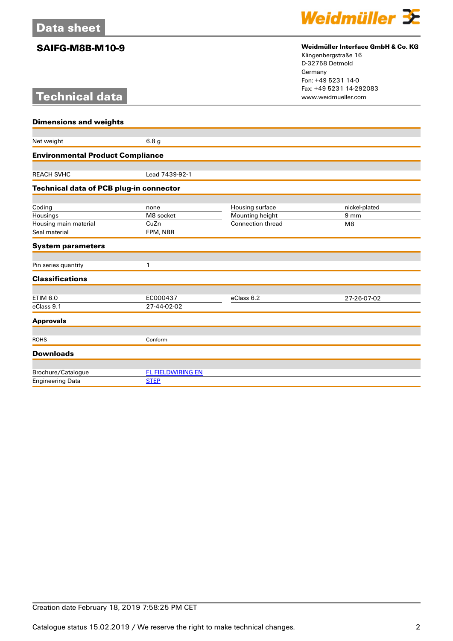# **Technical data**



## **SAIFG-M8B-M10-9 Weidmüller Interface GmbH & Co. KG**

Klingenbergstraße 16 D-32758 Detmold Germany Fon: +49 5231 14-0 Fax: +49 5231 14-292083

| <b>Dimensions and weights</b>                  |                          |                                             |                                  |  |
|------------------------------------------------|--------------------------|---------------------------------------------|----------------------------------|--|
|                                                |                          |                                             |                                  |  |
| Net weight                                     | 6.8 <sub>g</sub>         |                                             |                                  |  |
| <b>Environmental Product Compliance</b>        |                          |                                             |                                  |  |
|                                                |                          |                                             |                                  |  |
| <b>REACH SVHC</b>                              | Lead 7439-92-1           |                                             |                                  |  |
| <b>Technical data of PCB plug-in connector</b> |                          |                                             |                                  |  |
|                                                |                          |                                             |                                  |  |
| Coding                                         | none<br>M8 socket        | Housing surface                             | nickel-plated<br>9 <sub>mm</sub> |  |
| Housings                                       | CuZn                     | Mounting height<br><b>Connection thread</b> | M8                               |  |
| Housing main material<br>Seal material         | FPM, NBR                 |                                             |                                  |  |
|                                                |                          |                                             |                                  |  |
| <b>System parameters</b>                       |                          |                                             |                                  |  |
| Pin series quantity                            | 1                        |                                             |                                  |  |
|                                                |                          |                                             |                                  |  |
| <b>Classifications</b>                         |                          |                                             |                                  |  |
| <b>ETIM 6.0</b>                                | EC000437                 | eClass 6.2                                  | 27-26-07-02                      |  |
| eClass 9.1                                     | 27-44-02-02              |                                             |                                  |  |
| <b>Approvals</b>                               |                          |                                             |                                  |  |
|                                                |                          |                                             |                                  |  |
| <b>ROHS</b>                                    | Conform                  |                                             |                                  |  |
| <b>Downloads</b>                               |                          |                                             |                                  |  |
|                                                |                          |                                             |                                  |  |
| Brochure/Catalogue                             | <b>FL FIELDWIRING EN</b> |                                             |                                  |  |
| <b>Engineering Data</b>                        | <b>STEP</b>              |                                             |                                  |  |